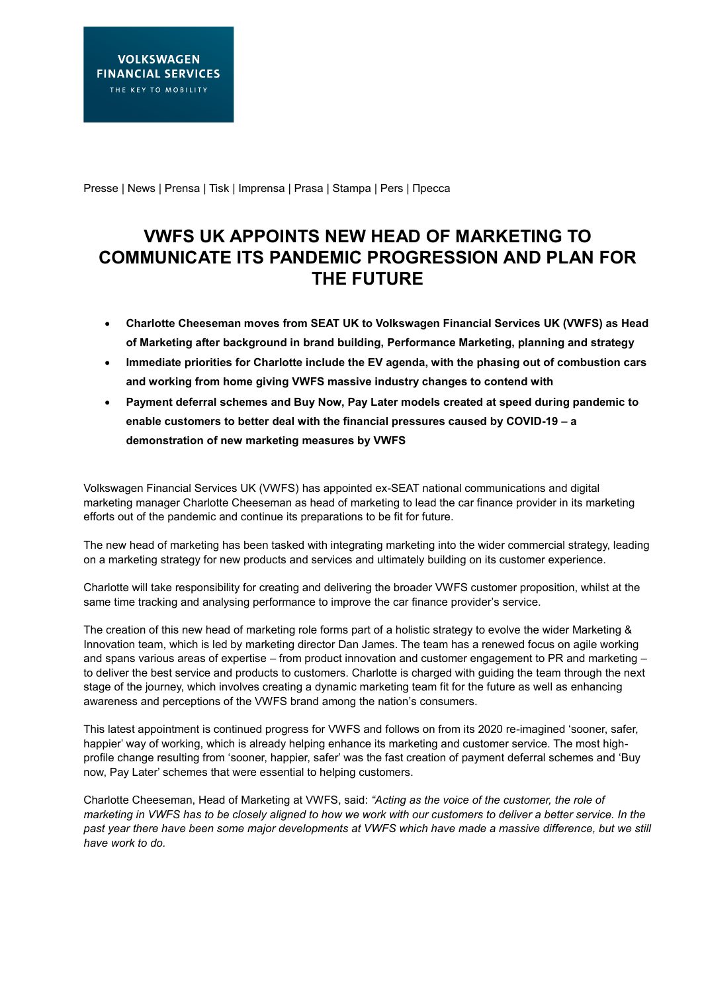Presse | News | Prensa | Tisk | Imprensa | Prasa | Stampa | Pers | Пресса

## **VWFS UK APPOINTS NEW HEAD OF MARKETING TO COMMUNICATE ITS PANDEMIC PROGRESSION AND PLAN FOR THE FUTURE**

- **Charlotte Cheeseman moves from SEAT UK to Volkswagen Financial Services UK (VWFS) as Head of Marketing after background in brand building, Performance Marketing, planning and strategy**
- **Immediate priorities for Charlotte include the EV agenda, with the phasing out of combustion cars and working from home giving VWFS massive industry changes to contend with**
- **Payment deferral schemes and Buy Now, Pay Later models created at speed during pandemic to enable customers to better deal with the financial pressures caused by COVID-19 – a demonstration of new marketing measures by VWFS**

Volkswagen Financial Services UK (VWFS) has appointed ex-SEAT national communications and digital marketing manager Charlotte Cheeseman as head of marketing to lead the car finance provider in its marketing efforts out of the pandemic and continue its preparations to be fit for future.

The new head of marketing has been tasked with integrating marketing into the wider commercial strategy, leading on a marketing strategy for new products and services and ultimately building on its customer experience.

Charlotte will take responsibility for creating and delivering the broader VWFS customer proposition, whilst at the same time tracking and analysing performance to improve the car finance provider's service.

The creation of this new head of marketing role forms part of a holistic strategy to evolve the wider Marketing & Innovation team, which is led by marketing director Dan James. The team has a renewed focus on agile working and spans various areas of expertise – from product innovation and customer engagement to PR and marketing – to deliver the best service and products to customers. Charlotte is charged with guiding the team through the next stage of the journey, which involves creating a dynamic marketing team fit for the future as well as enhancing awareness and perceptions of the VWFS brand among the nation's consumers.

This latest appointment is continued progress for VWFS and follows on from its 2020 re-imagined 'sooner, safer, happier' way of working, which is already helping enhance its marketing and customer service. The most highprofile change resulting from 'sooner, happier, safer' was the fast creation of payment deferral schemes and 'Buy now, Pay Later' schemes that were essential to helping customers.

Charlotte Cheeseman, Head of Marketing at VWFS, said: *"Acting as the voice of the customer, the role of marketing in VWFS has to be closely aligned to how we work with our customers to deliver a better service. In the past year there have been some major developments at VWFS which have made a massive difference, but we still have work to do.*